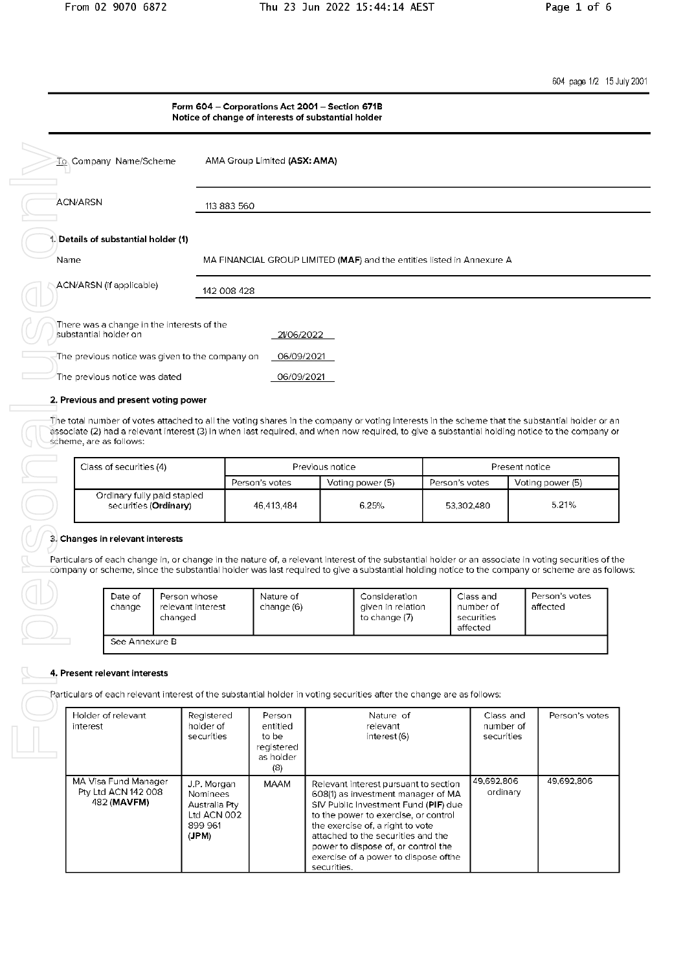604 page 1/2 15 July 2001

|                                                                     | Form 604 - Corporations Act 2001 - Section 671B<br>Notice of change of interests of substantial holder |
|---------------------------------------------------------------------|--------------------------------------------------------------------------------------------------------|
| To Company Name/Scheme                                              | AMA Group Limited (ASX: AMA)                                                                           |
| <b>ACN/ARSN</b>                                                     | 113 883 560                                                                                            |
| Details of substantial holder (1)<br>Name                           | MA FINANCIAL GROUP LIMITED (MAF) and the entities listed in Annexure A                                 |
| ACN/ARSN (if applicable)                                            | 142 008 428                                                                                            |
| There was a change in the interests of the<br>substantial holder on | 21/06/2022                                                                                             |
| The previous notice was given to the company on                     | 06/09/2021                                                                                             |
| The previous notice was dated                                       | 06/09/2021                                                                                             |
| 2. Previous and present voting power                                |                                                                                                        |

The total number of votes attached to all the voting shares in the company or voting interests in the scheme that the substantial holder or an associate (2) had a relevant interest (3) in when last required, and when now required, to give a substantial holding notice to the company or scheme, are as follows:

| Class of securities (4)                              | Previous notice |                  | Present notice |                  |
|------------------------------------------------------|-----------------|------------------|----------------|------------------|
|                                                      | Person's votes  | Voting power (5) | Person's votes | Voting power (5) |
| Ordinary fully paid stapled<br>securities (Ordinary) | 46.413.484      | 6.25%            | 53,302,480     | 5.21%            |

## 3. Changes in relevant interests

Particulars of each change in, or change in the nature of, a relevant interest of the substantial holder or an associate in voting securities of the company or scheme, since the substantial holder was last required to give a substantial holding notice to the company or scheme are as follows:

| Date of<br>change | Person whose<br>relevant interest<br>changed | Nature of<br>change (6) | Consideration<br>given in relation<br>to change (7) | Class and<br>number of<br>securities<br>affected | Person's votes<br>affected |
|-------------------|----------------------------------------------|-------------------------|-----------------------------------------------------|--------------------------------------------------|----------------------------|
| See Annexure B    |                                              |                         |                                                     |                                                  |                            |

# 4. Present relevant interests

Particulars of each relevant interest of the substantial holder in voting securities after the change are as follows:

| Holder of relevant<br>interest                             | Registered<br>holder of<br>securities                                              | Person<br>entitled<br>to be<br>registered<br>as holder<br>(8) | Nature of<br>relevant<br>interest (6)                                                                                                                                                                                                                                                                                                | Class and<br>number of<br>securities | Person's votes |
|------------------------------------------------------------|------------------------------------------------------------------------------------|---------------------------------------------------------------|--------------------------------------------------------------------------------------------------------------------------------------------------------------------------------------------------------------------------------------------------------------------------------------------------------------------------------------|--------------------------------------|----------------|
| MA Visa Fund Manager<br>Pty Ltd ACN 142 008<br>482 (MAVFM) | J.P. Morgan<br><b>Nominees</b><br>Australia Ptv<br>Ltd ACN 002<br>899 961<br>(JPM) | MAAM                                                          | Relevant interest pursuant to section<br>608(1) as investment manager of MA<br>SIV Public Investment Fund (PIF) due<br>to the power to exercise, or control<br>the exercise of, a right to vote<br>attached to the securities and the<br>power to dispose of, or control the<br>exercise of a power to dispose of the<br>securities. | 49,692,806<br>ordinary               | 49.692.806     |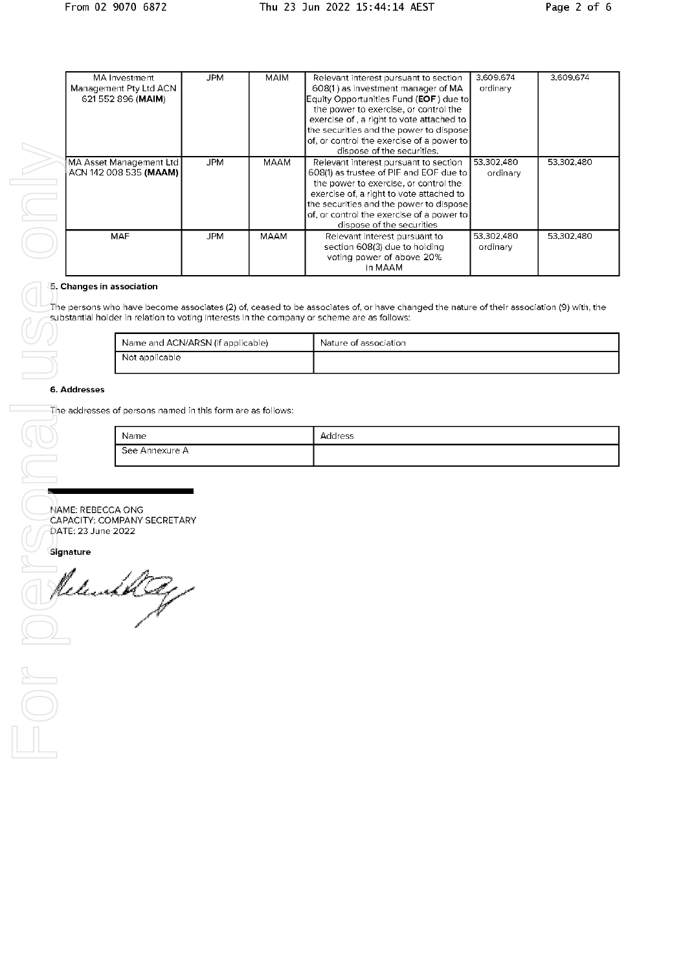Job  $rac{1}{\frac{1}{\frac{1}{1}}\frac{1}{\frac{1}{1}}\frac{1}{\frac{1}{1}}\frac{1}{\frac{1}{1}}\frac{1}{\frac{1}{1}}\frac{1}{\frac{1}{1}}\frac{1}{\frac{1}{1}}\frac{1}{\frac{1}{1}}\frac{1}{\frac{1}{1}}\frac{1}{\frac{1}{1}}\frac{1}{\frac{1}{1}}\frac{1}{\frac{1}{1}}\frac{1}{\frac{1}{1}}\frac{1}{\frac{1}{1}}\frac{1}{\frac{1}{1}}\frac{1}{\frac{1}{1}}\frac{1}{\frac{1}{1}}\frac{1}{\frac{1}{1}}$ 

| MA Investment           | JPM        | <b>MAIM</b> | Relevant interest pursuant to section     | 3,609,674  | 3,609,674  |
|-------------------------|------------|-------------|-------------------------------------------|------------|------------|
| Management Pty Ltd ACN  |            |             | 608(1) as investment manager of MA        | ordinary   |            |
| 621 552 896 (MAIM)      |            |             | Equity Opportunities Fund (EOF) due to    |            |            |
|                         |            |             | the power to exercise, or control the     |            |            |
|                         |            |             | exercise of, a right to vote attached to  |            |            |
|                         |            |             | the securities and the power to dispose   |            |            |
|                         |            |             | of, or control the exercise of a power to |            |            |
|                         |            |             | dispose of the securities.                |            |            |
| MA Asset Management Ltd | <b>JPM</b> | MAAM        | Relevant interest pursuant to section     | 53.302.480 | 53.302.480 |
| ACN 142 008 535 (MAAM)  |            |             | 608(1) as trustee of PIF and EOF due to   | ordinary   |            |
|                         |            |             | the power to exercise, or control the     |            |            |
|                         |            |             | exercise of, a right to vote attached to  |            |            |
|                         |            |             | the securities and the power to dispose   |            |            |
|                         |            |             | of, or control the exercise of a power to |            |            |
|                         |            |             | dispose of the securities                 |            |            |
| <b>MAF</b>              | JPM.       | MAAM        | Relevant interest pursuant to             | 53.302.480 | 53.302.480 |
|                         |            |             | section 608(3) due to holding             | ordinary   |            |
|                         |            |             | voting power of above 20%                 |            |            |
|                         |            |             | in MAAM                                   |            |            |
|                         |            |             |                                           |            |            |

# **[5, Changes in association**

The persons who have become associates (2) of, ceased to be associates of, or have changed the nature of their association (9) with, the substantial holder in relation to voting interests in the company or scheme are as follows:

| Name and ACN/ARSN (if applicable) | Nature of association |
|-----------------------------------|-----------------------|
| Not applicable                    |                       |

### 6. Addresses

The addresses of persons named in this form are as follows:

| Name           | Address |
|----------------|---------|
| See Annexure A |         |

.<br>NAME: REBECCA ONG<br>CAPACITY: COMPANY SECRETARY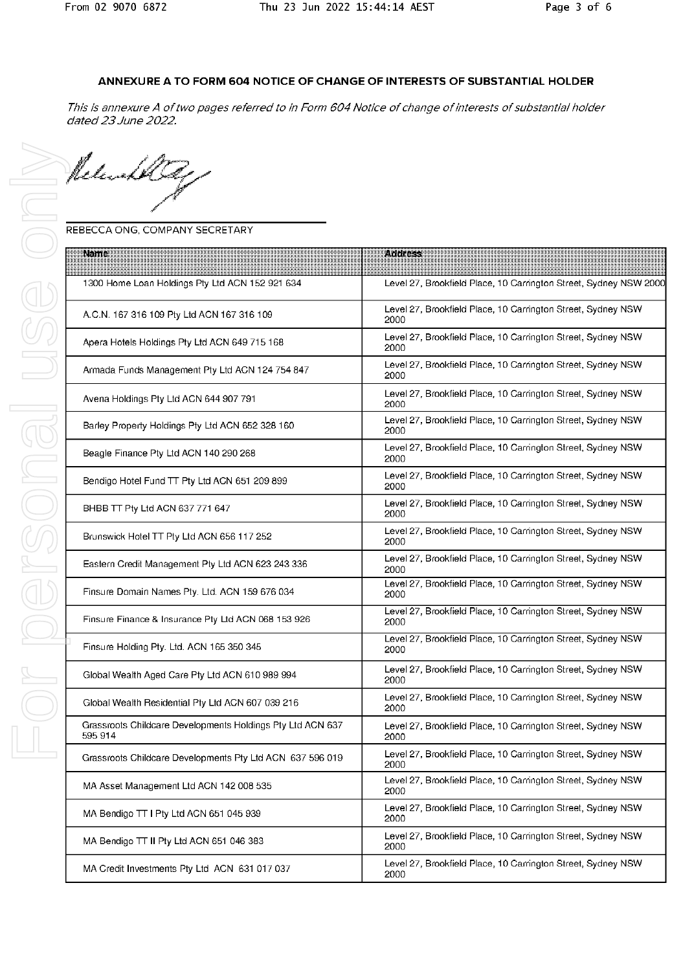# ANNEXURE A TO FORM 604 NOTICE OF CHANGE OF INTERESTS OF SUBSTANTIAL HOLDER

This is annexure A of two pages referred to in Form 604 Notice of change of interests of substantial holder dated 23 June 2022.

Release

# REBECCA ONG, COMPANY SECRETARY

| Name                                                                  | <b>Address</b>                                                       |
|-----------------------------------------------------------------------|----------------------------------------------------------------------|
| 1300 Home Loan Holdings Pty Ltd ACN 152 921 634                       | Level 27, Brookfield Place, 10 Carrington Street, Sydney NSW 2000    |
| A.C.N. 167 316 109 Pty Ltd ACN 167 316 109                            | Level 27, Brookfield Place, 10 Carrington Street, Sydney NSW<br>2000 |
| Apera Hotels Holdings Pty Ltd ACN 649 715 168                         | Level 27, Brookfield Place, 10 Carrington Street, Sydney NSW<br>2000 |
| Armada Funds Management Pty Ltd ACN 124 754 847                       | Level 27, Brookfield Place, 10 Carrington Street, Sydney NSW<br>2000 |
| Avena Holdings Pty Ltd ACN 644 907 791                                | Level 27, Brookfield Place, 10 Carrington Street, Sydney NSW<br>2000 |
| Barley Property Holdings Pty Ltd ACN 652 328 160                      | Level 27, Brookfield Place, 10 Carrington Street, Sydney NSW<br>2000 |
| Beagle Finance Pty Ltd ACN 140 290 268                                | Level 27, Brookfield Place, 10 Carrington Street, Sydney NSW<br>2000 |
| Bendigo Hotel Fund TT Pty Ltd ACN 651 209 899                         | Level 27, Brookfield Place, 10 Carrington Street, Sydney NSW<br>2000 |
| BHBB TT Pty Ltd ACN 637 771 647                                       | Level 27, Brookfield Place, 10 Carrington Street, Sydney NSW<br>2000 |
| Brunswick Hotel TT Pty Ltd ACN 656 117 252                            | Level 27, Brookfield Place, 10 Carrington Street, Sydney NSW<br>2000 |
| Eastern Credit Management Pty Ltd ACN 623 243 336                     | Level 27, Brookfield Place, 10 Carrington Street, Sydney NSW<br>2000 |
| Finsure Domain Names Pty. Ltd. ACN 159 676 034                        | Level 27, Brookfield Place, 10 Carrington Street, Sydney NSW<br>2000 |
| Finsure Finance & Insurance Pty Ltd ACN 068 153 926                   | Level 27, Brookfield Place, 10 Carrington Street, Sydney NSW<br>2000 |
| Finsure Holding Pty. Ltd. ACN 165 350 345                             | Level 27, Brookfield Place, 10 Carrington Street, Sydney NSW<br>2000 |
| Global Wealth Aged Care Pty Ltd ACN 610 989 994                       | Level 27, Brookfield Place, 10 Carrington Street, Sydney NSW<br>2000 |
| Global Wealth Residential Pty Ltd ACN 607 039 216                     | Level 27, Brookfield Place, 10 Carrington Street, Sydney NSW<br>2000 |
| Grassroots Childcare Developments Holdings Pty Ltd ACN 637<br>595 914 | Level 27, Brookfield Place, 10 Carrington Street, Sydney NSW<br>2000 |
| Grassroots Childcare Developments Pty Ltd ACN 637 596 019             | Level 27, Brookfield Place, 10 Carrington Street, Sydney NSW<br>2000 |
| MA Asset Management Ltd ACN 142 008 535                               | Level 27, Brookfield Place, 10 Carrington Street, Sydney NSW<br>2000 |
| MA Bendigo TT I Pty Ltd ACN 651 045 939                               | Level 27, Brookfield Place, 10 Carrington Street, Sydney NSW<br>2000 |
| MA Bendigo TT II Pty Ltd ACN 651 046 383                              | Level 27, Brookfield Place, 10 Carrington Street, Sydney NSW<br>2000 |
| MA Credit Investments Pty Ltd ACN 631 017 037                         | Level 27, Brookfield Place, 10 Carrington Street, Sydney NSW<br>2000 |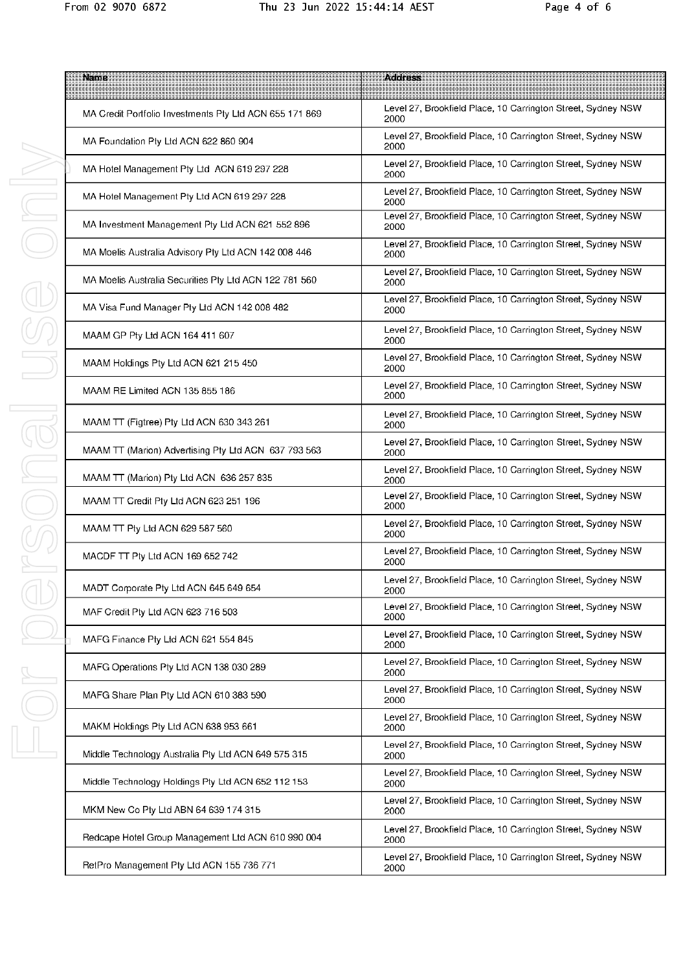| <b>Name</b>                                             | <b>Address</b>                                                       |
|---------------------------------------------------------|----------------------------------------------------------------------|
| MA Credit Portfolio Investments Pty Ltd ACN 655 171 869 | Level 27, Brookfield Place, 10 Carrington Street, Sydney NSW<br>2000 |
| MA Foundation Pty Ltd ACN 622 860 904                   | Level 27, Brookfield Place, 10 Carrington Street, Sydney NSW<br>2000 |
| MA Hotel Management Pty Ltd ACN 619 297 228             | Level 27, Brookfield Place, 10 Carrington Street, Sydney NSW<br>2000 |
| MA Hotel Management Pty Ltd ACN 619 297 228             | Level 27, Brookfield Place, 10 Carrington Street, Sydney NSW<br>2000 |
| MA Investment Management Pty Ltd ACN 621 552 896        | Level 27, Brookfield Place, 10 Carrington Street, Sydney NSW<br>2000 |
| MA Moelis Australia Advisory Pty Ltd ACN 142 008 446    | Level 27, Brookfield Place, 10 Carrington Street, Sydney NSW<br>2000 |
| MA Moelis Australia Securities Pty Ltd ACN 122 781 560  | Level 27, Brookfield Place, 10 Carrington Street, Sydney NSW<br>2000 |
| MA Visa Fund Manager Pty Ltd ACN 142 008 482            | Level 27, Brookfield Place, 10 Carrington Street, Sydney NSW<br>2000 |
| MAAM GP Pty Ltd ACN 164 411 607                         | Level 27, Brookfield Place, 10 Carrington Street, Sydney NSW<br>2000 |
| MAAM Holdings Pty Ltd ACN 621 215 450                   | Level 27, Brookfield Place, 10 Carrington Street, Sydney NSW<br>2000 |
| MAAM RE Limited ACN 135 855 186                         | Level 27, Brookfield Place, 10 Carrington Street, Sydney NSW<br>2000 |
| MAAM TT (Figtree) Pty Ltd ACN 630 343 261               | Level 27, Brookfield Place, 10 Carrington Street, Sydney NSW<br>2000 |
| MAAM TT (Marion) Advertising Pty Ltd ACN 637 793 563    | Level 27, Brookfield Place, 10 Carrington Street, Sydney NSW<br>2000 |
| MAAM TT (Marion) Pty Ltd ACN 636 257 835                | Level 27, Brookfield Place, 10 Carrington Street, Sydney NSW<br>2000 |
| MAAM TT Credit Pty Ltd ACN 623 251 196                  | Level 27, Brookfield Place, 10 Carrington Street, Sydney NSW<br>2000 |
| MAAM TT Pty Ltd ACN 629 587 560                         | Level 27, Brookfield Place, 10 Carrington Street, Sydney NSW<br>2000 |
| MACDF TT Pty Ltd ACN 169 652 742                        | Level 27, Brookfield Place, 10 Carrington Street, Sydney NSW<br>2000 |
| MADT Corporate Pty Ltd ACN 645 649 654                  | Level 27, Brookfield Place, 10 Carrington Street, Sydney NSW<br>2000 |
| MAF Credit Pty Ltd ACN 623 716 503                      | Level 27, Brookfield Place, 10 Carrington Street, Sydney NSW<br>2000 |
| MAFG Finance Pty Ltd ACN 621 554 845                    | Level 27, Brookfield Place, 10 Carrington Street, Sydney NSW<br>2000 |
| MAFG Operations Pty Ltd ACN 138 030 289                 | Level 27, Brookfield Place, 10 Carrington Street, Sydney NSW<br>2000 |
| MAFG Share Plan Pty Ltd ACN 610 383 590                 | Level 27, Brookfield Place, 10 Carrington Street, Sydney NSW<br>2000 |
| MAKM Holdings Pty Ltd ACN 638 953 661                   | Level 27, Brookfield Place, 10 Carrington Street, Sydney NSW<br>2000 |
| Middle Technology Australia Pty Ltd ACN 649 575 315     | Level 27, Brookfield Place, 10 Carrington Street, Sydney NSW<br>2000 |
| Middle Technology Holdings Pty Ltd ACN 652 112 153      | Level 27, Brookfield Place, 10 Carrington Street, Sydney NSW<br>2000 |
| MKM New Co Pty Ltd ABN 64 639 174 315                   | Level 27, Brookfield Place, 10 Carrington Street, Sydney NSW<br>2000 |
| Redcape Hotel Group Management Ltd ACN 610 990 004      | Level 27, Brookfield Place, 10 Carrington Street, Sydney NSW<br>2000 |
| RetPro Management Pty Ltd ACN 155 736 771               | Level 27, Brookfield Place, 10 Carrington Street, Sydney NSW<br>2000 |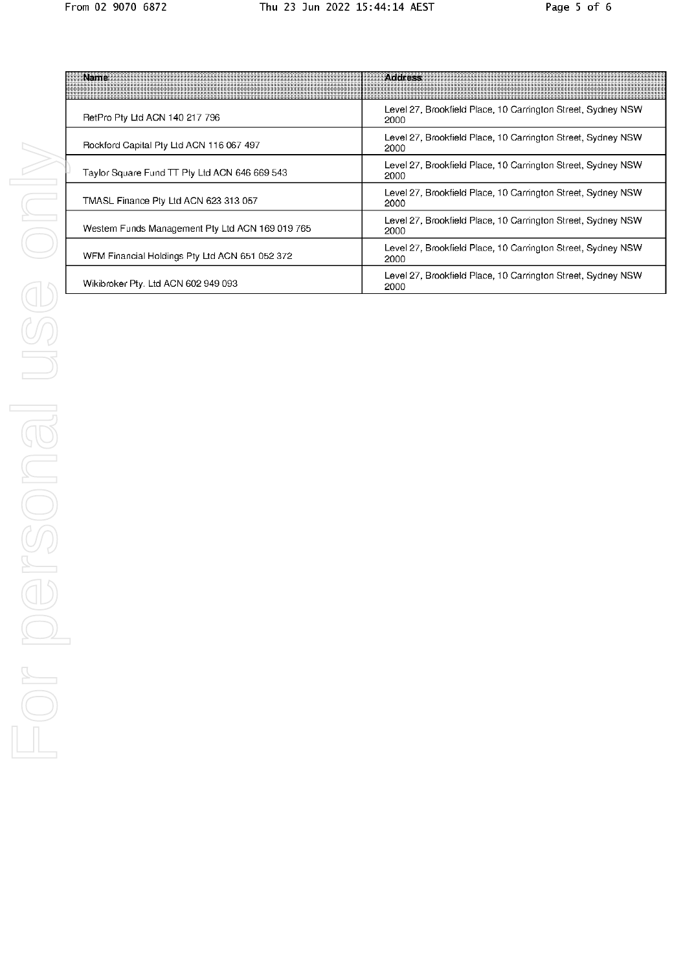| Namer                                            | <b>Profilesse</b>                                                    |
|--------------------------------------------------|----------------------------------------------------------------------|
| RetPro Pty Ltd ACN 140 217 796                   | Level 27, Brookfield Place, 10 Carrington Street, Sydney NSW<br>2000 |
| Rockford Capital Pty Ltd ACN 116 067 497         | Level 27, Brookfield Place, 10 Carrington Street, Sydney NSW<br>2000 |
| Taylor Square Fund TT Pty Ltd ACN 646 669 543    | Level 27, Brookfield Place, 10 Carrington Street, Sydney NSW<br>2000 |
| TMASL Finance Pty Ltd ACN 623 313 057            | Level 27, Brookfield Place, 10 Carrington Street, Sydney NSW<br>2000 |
| Western Funds Management Pty Ltd ACN 169 019 765 | Level 27, Brookfield Place, 10 Carrington Street, Sydney NSW<br>2000 |
| WFM Financial Holdings Pty Ltd ACN 651 052 372   | Level 27, Brookfield Place, 10 Carrington Street, Sydney NSW<br>2000 |
| Wikibroker Pty. Ltd ACN 602 949 093              | Level 27, Brookfield Place, 10 Carrington Street, Sydney NSW<br>2000 |